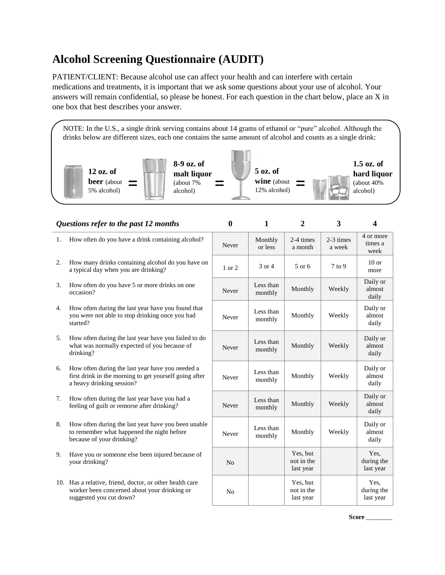## **Alcohol Screening Questionnaire (AUDIT)**

PATIENT/CLIENT: Because alcohol use can affect your health and can interfere with certain medications and treatments, it is important that we ask some questions about your use of alcohol. Your answers will remain confidential, so please be honest. For each question in the chart below, place an X in one box that best describes your answer.

**12 oz. of beer** (about 5% alcohol) **8-9 oz. of malt liquor** (about 7% alcohol) **5 oz. of wine** (about 12% alcohol) **1.5 oz. of hard liquor** (about 40% alcohol) NOTE: In the U.S., a single drink serving contains about 14 grams of ethanol or "pure" alcohol. Although the drinks below are different sizes, each one contains the same amount of alcohol and counts as a single drink:  $=$   $\begin{bmatrix} \text{matrix Hquot} \\ \text{(about 7%)} \\ \text{alcohol)} \end{bmatrix}$   $=$   $\begin{bmatrix} \text{wise (about } \\ 12\% \text{ alcohol}) \end{bmatrix}$ 

|    | Questions refer to the past 12 months                                                                                                   | $\bf{0}$       | 1                    | $\overline{2}$                      | 3                   | $\overline{\mathbf{4}}$         |
|----|-----------------------------------------------------------------------------------------------------------------------------------------|----------------|----------------------|-------------------------------------|---------------------|---------------------------------|
| 1. | How often do you have a drink containing alcohol?                                                                                       | Never          | Monthly<br>or less   | 2-4 times<br>a month                | 2-3 times<br>a week | 4 or more<br>times a<br>week    |
| 2. | How many drinks containing alcohol do you have on<br>a typical day when you are drinking?                                               | 1 or 2         | 3 or 4               | 5 or 6                              | $7$ to $9$          | $10$ or<br>more                 |
| 3. | How often do you have 5 or more drinks on one<br>occasion?                                                                              | Never          | Less than<br>monthly | Monthly                             | Weekly              | Daily or<br>almost<br>daily     |
| 4. | How often during the last year have you found that<br>you were not able to stop drinking once you had<br>started?                       | Never          | Less than<br>monthly | Monthly                             | Weekly              | Daily or<br>almost<br>daily     |
| 5. | How often during the last year have you failed to do<br>what was normally expected of you because of<br>drinking?                       | Never          | Less than<br>monthly | Monthly                             | Weekly              | Daily or<br>almost<br>daily     |
| 6. | How often during the last year have you needed a<br>first drink in the morning to get yourself going after<br>a heavy drinking session? | Never          | Less than<br>monthly | Monthly                             | Weekly              | Daily or<br>almost<br>daily     |
| 7. | How often during the last year have you had a<br>feeling of guilt or remorse after drinking?                                            | Never          | Less than<br>monthly | Monthly                             | Weekly              | Daily or<br>almost<br>daily     |
| 8. | How often during the last year have you been unable<br>to remember what happened the night before<br>because of your drinking?          | Never          | Less than<br>monthly | Monthly                             | Weekly              | Daily or<br>almost<br>daily     |
| 9. | Have you or someone else been injured because of<br>your drinking?                                                                      | N <sub>o</sub> |                      | Yes, but<br>not in the<br>last year |                     | Yes,<br>during the<br>last year |
|    | 10. Has a relative, friend, doctor, or other health care<br>worker been concerned about your drinking or<br>suggested you cut down?     | No             |                      | Yes, but<br>not in the<br>last year |                     | Yes.<br>during the<br>last year |

**Score** \_\_\_\_\_\_\_\_